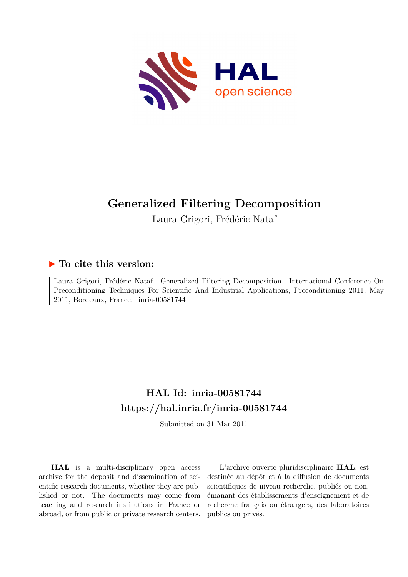

# **Generalized Filtering Decomposition**

Laura Grigori, Frédéric Nataf

### **To cite this version:**

Laura Grigori, Frédéric Nataf. Generalized Filtering Decomposition. International Conference On Preconditioning Techniques For Scientific And Industrial Applications, Preconditioning 2011, May 2011, Bordeaux, France. inria-00581744

## **HAL Id: inria-00581744 <https://hal.inria.fr/inria-00581744>**

Submitted on 31 Mar 2011

**HAL** is a multi-disciplinary open access archive for the deposit and dissemination of scientific research documents, whether they are published or not. The documents may come from teaching and research institutions in France or abroad, or from public or private research centers.

L'archive ouverte pluridisciplinaire **HAL**, est destinée au dépôt et à la diffusion de documents scientifiques de niveau recherche, publiés ou non, émanant des établissements d'enseignement et de recherche français ou étrangers, des laboratoires publics ou privés.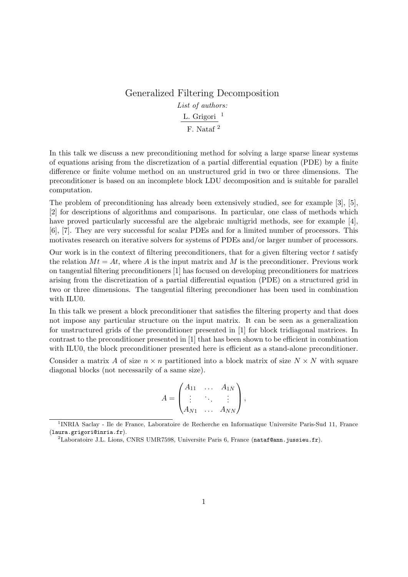#### Generalized Filtering Decomposition *List of authors:* L. Grigori $^{-1}$ F. Nataf<sup>2</sup>

In this talk we discuss a new preconditioning method for solving a large sparse linear systems of equations arising from the discretization of a partial differential equation (PDE) by a finite difference or finite volume method on an unstructured grid in two or three dimensions. The preconditioner is based on an incomplete block LDU decomposition and is suitable for parallel computation.

The problem of preconditioning has already been extensively studied, see for example [3], [5], [2] for descriptions of algorithms and comparisons. In particular, one class of methods which have proved particularly successful are the algebraic multigrid methods, see for example [4], [6], [7]. They are very successful for scalar PDEs and for a limited number of processors. This motivates research on iterative solvers for systems of PDEs and/or larger number of processors.

Our work is in the context of filtering preconditioners, that for a given filtering vector  $t$  satisfy the relation  $Mt = At$ , where A is the input matrix and M is the preconditioner. Previous work on tangential filtering preconditioners [1] has focused on developing preconditioners for matrices arising from the discretization of a partial differential equation (PDE) on a structured grid in two or three dimensions. The tangential filtering precondioner has been used in combination with ILU0.

In this talk we present a block preconditioner that satisfies the filtering property and that does not impose any particular structure on the input matrix. It can be seen as a generalization for unstructured grids of the preconditioner presented in [1] for block tridiagonal matrices. In contrast to the preconditioner presented in [1] that has been shown to be efficient in combination with ILU0, the block preconditioner presented here is efficient as a stand-alone preconditioner.

Consider a matrix A of size  $n \times n$  partitioned into a block matrix of size  $N \times N$  with square diagonal blocks (not necessarily of a same size).

$$
A = \begin{pmatrix} A_{11} & \dots & A_{1N} \\ \vdots & \ddots & \vdots \\ A_{N1} & \dots & A_{NN} \end{pmatrix},
$$

<sup>&</sup>lt;sup>1</sup>INRIA Saclay - Ile de France, Laboratoire de Recherche en Informatique Universite Paris-Sud 11, France (laura.grigori@inria.fr).

<sup>&</sup>lt;sup>2</sup>Laboratoire J.L. Lions, CNRS UMR7598, Universite Paris 6, France (nataf@ann.jussieu.fr).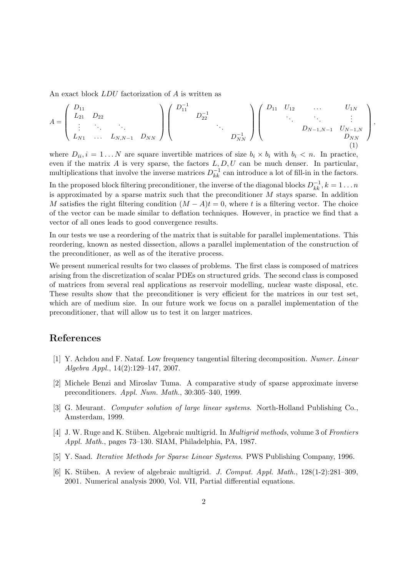An exact block LDU factorization of A is written as

$$
A = \begin{pmatrix} D_{11} & & & & \\ L_{21} & D_{22} & & & \\ \vdots & \ddots & \ddots & \vdots & \\ L_{N1} & \cdots & L_{N,N-1} & D_{NN} \end{pmatrix} \begin{pmatrix} D_{11}^{-1} & & & & \\ & D_{22}^{-1} & & & \\ & & \ddots & & \\ & & & D_{NN}^{-1} \end{pmatrix} \begin{pmatrix} D_{11} & U_{12} & \cdots & U_{1N} \\ & \ddots & \ddots & \vdots \\ & & D_{N-1,N-1} & U_{N-1,N} \\ & & & & D_{NN} \end{pmatrix}
$$
 (1)

,

where  $D_{ii}, i = 1...N$  are square invertible matrices of size  $b_i \times b_i$  with  $b_i \lt n$ . In practice, even if the matrix A is very sparse, the factors  $L, D, U$  can be much denser. In particular, multiplications that involve the inverse matrices  $D_{kk}^{-1}$  can introduce a lot of fill-in in the factors.

In the proposed block filtering preconditioner, the inverse of the diagonal blocks  $D_{kk}^{-1}$ ,  $k = 1...n$ is approximated by a sparse matrix such that the preconditioner  $M$  stays sparse. In addition M satisfies the right filtering condition  $(M - A)t = 0$ , where t is a filtering vector. The choice of the vector can be made similar to deflation techniques. However, in practice we find that a vector of all ones leads to good convergence results.

In our tests we use a reordering of the matrix that is suitable for parallel implementations. This reordering, known as nested dissection, allows a parallel implementation of the construction of the preconditioner, as well as of the iterative process.

We present numerical results for two classes of problems. The first class is composed of matrices arising from the discretization of scalar PDEs on structured grids. The second class is composed of matrices from several real applications as reservoir modelling, nuclear waste disposal, etc. These results show that the preconditioner is very efficient for the matrices in our test set, which are of medium size. In our future work we focus on a parallel implementation of the preconditioner, that will allow us to test it on larger matrices.

#### References

- [1] Y. Achdou and F. Nataf. Low frequency tangential filtering decomposition. *Numer. Linear Algebra Appl.*, 14(2):129–147, 2007.
- [2] Michele Benzi and Miroslav Tuma. A comparative study of sparse approximate inverse preconditioners. *Appl. Num. Math.*, 30:305–340, 1999.
- [3] G. Meurant. *Computer solution of large linear systems*. North-Holland Publishing Co., Amsterdam, 1999.
- [4] J. W. Ruge and K. St¨uben. Algebraic multigrid. In *Multigrid methods*, volume 3 of *Frontiers Appl. Math.*, pages 73–130. SIAM, Philadelphia, PA, 1987.
- [5] Y. Saad. *Iterative Methods for Sparse Linear Systems*. PWS Publishing Company, 1996.
- [6] K. St¨uben. A review of algebraic multigrid. *J. Comput. Appl. Math.*, 128(1-2):281–309, 2001. Numerical analysis 2000, Vol. VII, Partial differential equations.